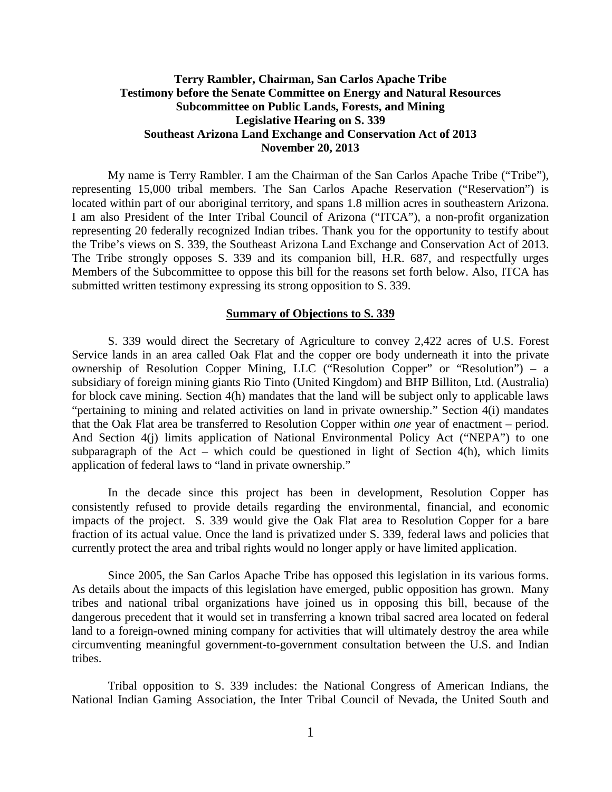# **Terry Rambler, Chairman, San Carlos Apache Tribe Testimony before the Senate Committee on Energy and Natural Resources Subcommittee on Public Lands, Forests, and Mining Legislative Hearing on S. 339 Southeast Arizona Land Exchange and Conservation Act of 2013 November 20, 2013**

My name is Terry Rambler. I am the Chairman of the San Carlos Apache Tribe ("Tribe"), representing 15,000 tribal members. The San Carlos Apache Reservation ("Reservation") is located within part of our aboriginal territory, and spans 1.8 million acres in southeastern Arizona. I am also President of the Inter Tribal Council of Arizona ("ITCA"), a non-profit organization representing 20 federally recognized Indian tribes. Thank you for the opportunity to testify about the Tribe's views on S. 339, the Southeast Arizona Land Exchange and Conservation Act of 2013. The Tribe strongly opposes S. 339 and its companion bill, H.R. 687, and respectfully urges Members of the Subcommittee to oppose this bill for the reasons set forth below. Also, ITCA has submitted written testimony expressing its strong opposition to S. 339.

### **Summary of Objections to S. 339**

S. 339 would direct the Secretary of Agriculture to convey 2,422 acres of U.S. Forest Service lands in an area called Oak Flat and the copper ore body underneath it into the private ownership of Resolution Copper Mining, LLC ("Resolution Copper" or "Resolution") – a subsidiary of foreign mining giants Rio Tinto (United Kingdom) and BHP Billiton, Ltd. (Australia) for block cave mining. Section 4(h) mandates that the land will be subject only to applicable laws "pertaining to mining and related activities on land in private ownership." Section 4(i) mandates that the Oak Flat area be transferred to Resolution Copper within *one* year of enactment – period. And Section 4(j) limits application of National Environmental Policy Act ("NEPA") to one subparagraph of the Act – which could be questioned in light of Section  $4(h)$ , which limits application of federal laws to "land in private ownership."

In the decade since this project has been in development, Resolution Copper has consistently refused to provide details regarding the environmental, financial, and economic impacts of the project. S. 339 would give the Oak Flat area to Resolution Copper for a bare fraction of its actual value. Once the land is privatized under S. 339, federal laws and policies that currently protect the area and tribal rights would no longer apply or have limited application.

Since 2005, the San Carlos Apache Tribe has opposed this legislation in its various forms. As details about the impacts of this legislation have emerged, public opposition has grown. Many tribes and national tribal organizations have joined us in opposing this bill, because of the dangerous precedent that it would set in transferring a known tribal sacred area located on federal land to a foreign-owned mining company for activities that will ultimately destroy the area while circumventing meaningful government-to-government consultation between the U.S. and Indian tribes.

Tribal opposition to S. 339 includes: the National Congress of American Indians, the National Indian Gaming Association, the Inter Tribal Council of Nevada, the United South and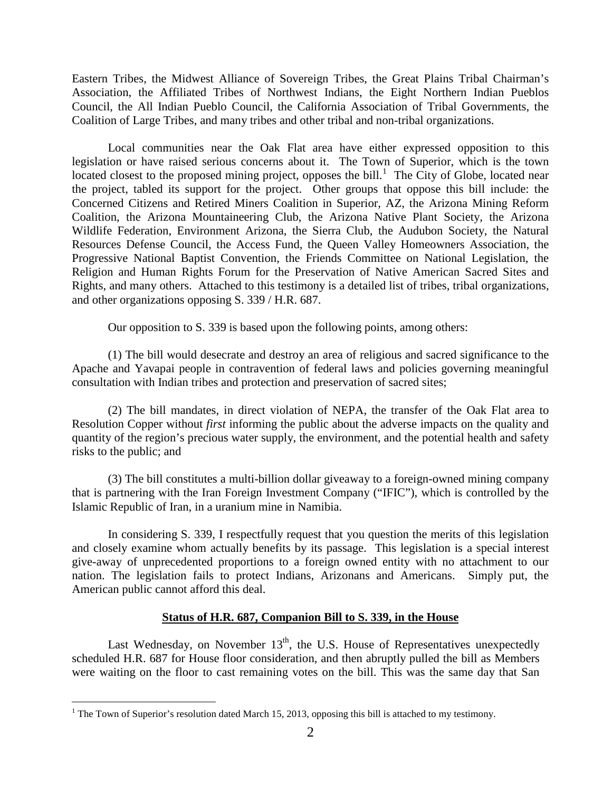Eastern Tribes, the Midwest Alliance of Sovereign Tribes, the Great Plains Tribal Chairman's Association, the Affiliated Tribes of Northwest Indians, the Eight Northern Indian Pueblos Council, the All Indian Pueblo Council, the California Association of Tribal Governments, the Coalition of Large Tribes, and many tribes and other tribal and non-tribal organizations.

Local communities near the Oak Flat area have either expressed opposition to this legislation or have raised serious concerns about it. The Town of Superior, which is the town located closest to the proposed mining project, opposes the bill.<sup>[1](#page-1-0)</sup> The City of Globe, located near the project, tabled its support for the project. Other groups that oppose this bill include: the Concerned Citizens and Retired Miners Coalition in Superior, AZ, the Arizona Mining Reform Coalition, the Arizona Mountaineering Club, the Arizona Native Plant Society, the Arizona Wildlife Federation, Environment Arizona, the Sierra Club, the Audubon Society, the Natural Resources Defense Council, the Access Fund, the Queen Valley Homeowners Association, the Progressive National Baptist Convention, the Friends Committee on National Legislation, the Religion and Human Rights Forum for the Preservation of Native American Sacred Sites and Rights, and many others. Attached to this testimony is a detailed list of tribes, tribal organizations, and other organizations opposing S. 339 / H.R. 687.

Our opposition to S. 339 is based upon the following points, among others:

(1) The bill would desecrate and destroy an area of religious and sacred significance to the Apache and Yavapai people in contravention of federal laws and policies governing meaningful consultation with Indian tribes and protection and preservation of sacred sites;

(2) The bill mandates, in direct violation of NEPA, the transfer of the Oak Flat area to Resolution Copper without *first* informing the public about the adverse impacts on the quality and quantity of the region's precious water supply, the environment, and the potential health and safety risks to the public; and

(3) The bill constitutes a multi-billion dollar giveaway to a foreign-owned mining company that is partnering with the Iran Foreign Investment Company ("IFIC"), which is controlled by the Islamic Republic of Iran, in a uranium mine in Namibia.

In considering S. 339, I respectfully request that you question the merits of this legislation and closely examine whom actually benefits by its passage. This legislation is a special interest give-away of unprecedented proportions to a foreign owned entity with no attachment to our nation. The legislation fails to protect Indians, Arizonans and Americans. Simply put, the American public cannot afford this deal.

### **Status of H.R. 687, Companion Bill to S. 339, in the House**

Last Wednesday, on November  $13<sup>th</sup>$ , the U.S. House of Representatives unexpectedly scheduled H.R. 687 for House floor consideration, and then abruptly pulled the bill as Members were waiting on the floor to cast remaining votes on the bill. This was the same day that San

<span id="page-1-0"></span> $1$  The Town of Superior's resolution dated March 15, 2013, opposing this bill is attached to my testimony.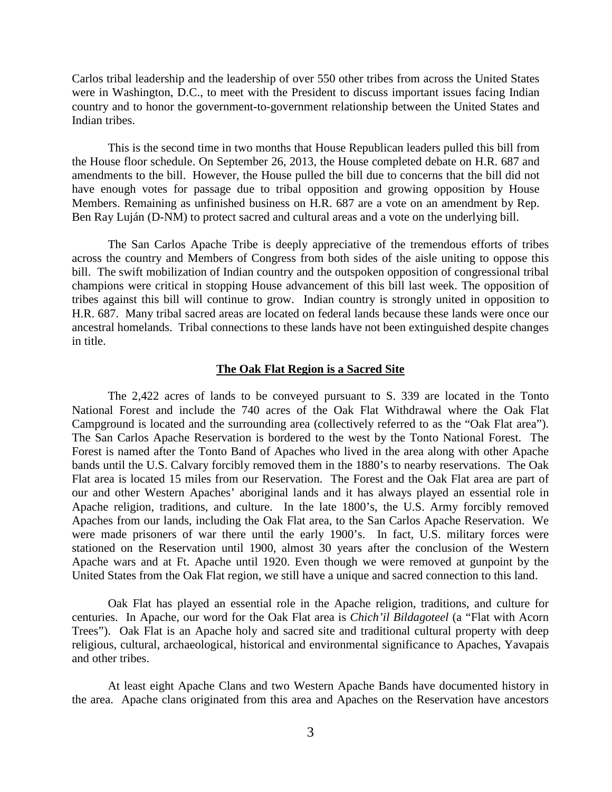Carlos tribal leadership and the leadership of over 550 other tribes from across the United States were in Washington, D.C., to meet with the President to discuss important issues facing Indian country and to honor the government-to-government relationship between the United States and Indian tribes.

This is the second time in two months that House Republican leaders pulled this bill from the House floor schedule. On September 26, 2013, the House completed debate on H.R. 687 and amendments to the bill. However, the House pulled the bill due to concerns that the bill did not have enough votes for passage due to tribal opposition and growing opposition by House Members. Remaining as unfinished business on H.R. 687 are a vote on an amendment by Rep. Ben Ray Luján (D-NM) to protect sacred and cultural areas and a vote on the underlying bill.

The San Carlos Apache Tribe is deeply appreciative of the tremendous efforts of tribes across the country and Members of Congress from both sides of the aisle uniting to oppose this bill. The swift mobilization of Indian country and the outspoken opposition of congressional tribal champions were critical in stopping House advancement of this bill last week. The opposition of tribes against this bill will continue to grow. Indian country is strongly united in opposition to H.R. 687. Many tribal sacred areas are located on federal lands because these lands were once our ancestral homelands. Tribal connections to these lands have not been extinguished despite changes in title.

#### **The Oak Flat Region is a Sacred Site**

The 2,422 acres of lands to be conveyed pursuant to S. 339 are located in the Tonto National Forest and include the 740 acres of the Oak Flat Withdrawal where the Oak Flat Campground is located and the surrounding area (collectively referred to as the "Oak Flat area"). The San Carlos Apache Reservation is bordered to the west by the Tonto National Forest. The Forest is named after the Tonto Band of Apaches who lived in the area along with other Apache bands until the U.S. Calvary forcibly removed them in the 1880's to nearby reservations. The Oak Flat area is located 15 miles from our Reservation. The Forest and the Oak Flat area are part of our and other Western Apaches' aboriginal lands and it has always played an essential role in Apache religion, traditions, and culture. In the late 1800's, the U.S. Army forcibly removed Apaches from our lands, including the Oak Flat area, to the San Carlos Apache Reservation. We were made prisoners of war there until the early 1900's. In fact, U.S. military forces were stationed on the Reservation until 1900, almost 30 years after the conclusion of the Western Apache wars and at Ft. Apache until 1920. Even though we were removed at gunpoint by the United States from the Oak Flat region, we still have a unique and sacred connection to this land.

Oak Flat has played an essential role in the Apache religion, traditions, and culture for centuries. In Apache, our word for the Oak Flat area is *Chich'il Bildagoteel* (a "Flat with Acorn Trees"). Oak Flat is an Apache holy and sacred site and traditional cultural property with deep religious, cultural, archaeological, historical and environmental significance to Apaches, Yavapais and other tribes.

At least eight Apache Clans and two Western Apache Bands have documented history in the area. Apache clans originated from this area and Apaches on the Reservation have ancestors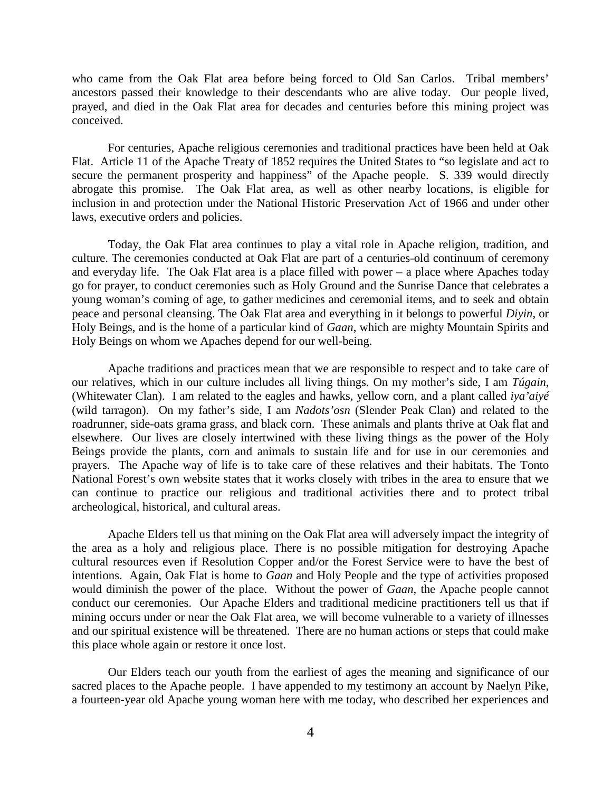who came from the Oak Flat area before being forced to Old San Carlos. Tribal members' ancestors passed their knowledge to their descendants who are alive today. Our people lived, prayed, and died in the Oak Flat area for decades and centuries before this mining project was conceived.

For centuries, Apache religious ceremonies and traditional practices have been held at Oak Flat. Article 11 of the Apache Treaty of 1852 requires the United States to "so legislate and act to secure the permanent prosperity and happiness" of the Apache people. S. 339 would directly abrogate this promise. The Oak Flat area, as well as other nearby locations, is eligible for inclusion in and protection under the National Historic Preservation Act of 1966 and under other laws, executive orders and policies.

Today, the Oak Flat area continues to play a vital role in Apache religion, tradition, and culture. The ceremonies conducted at Oak Flat are part of a centuries-old continuum of ceremony and everyday life. The Oak Flat area is a place filled with power – a place where Apaches today go for prayer, to conduct ceremonies such as Holy Ground and the Sunrise Dance that celebrates a young woman's coming of age, to gather medicines and ceremonial items, and to seek and obtain peace and personal cleansing. The Oak Flat area and everything in it belongs to powerful *Diyin,* or Holy Beings, and is the home of a particular kind of *Gaan*, which are mighty Mountain Spirits and Holy Beings on whom we Apaches depend for our well-being.

Apache traditions and practices mean that we are responsible to respect and to take care of our relatives, which in our culture includes all living things. On my mother's side, I am *Túgain*, (Whitewater Clan). I am related to the eagles and hawks, yellow corn, and a plant called *iya'aiyé* (wild tarragon). On my father's side, I am *Nadots'osn* (Slender Peak Clan) and related to the roadrunner, side-oats grama grass, and black corn. These animals and plants thrive at Oak flat and elsewhere. Our lives are closely intertwined with these living things as the power of the Holy Beings provide the plants, corn and animals to sustain life and for use in our ceremonies and prayers. The Apache way of life is to take care of these relatives and their habitats. The Tonto National Forest's own website states that it works closely with tribes in the area to ensure that we can continue to practice our religious and traditional activities there and to protect tribal archeological, historical, and cultural areas.

Apache Elders tell us that mining on the Oak Flat area will adversely impact the integrity of the area as a holy and religious place. There is no possible mitigation for destroying Apache cultural resources even if Resolution Copper and/or the Forest Service were to have the best of intentions. Again, Oak Flat is home to *Gaan* and Holy People and the type of activities proposed would diminish the power of the place. Without the power of *Gaan*, the Apache people cannot conduct our ceremonies. Our Apache Elders and traditional medicine practitioners tell us that if mining occurs under or near the Oak Flat area, we will become vulnerable to a variety of illnesses and our spiritual existence will be threatened. There are no human actions or steps that could make this place whole again or restore it once lost.

Our Elders teach our youth from the earliest of ages the meaning and significance of our sacred places to the Apache people. I have appended to my testimony an account by Naelyn Pike, a fourteen-year old Apache young woman here with me today, who described her experiences and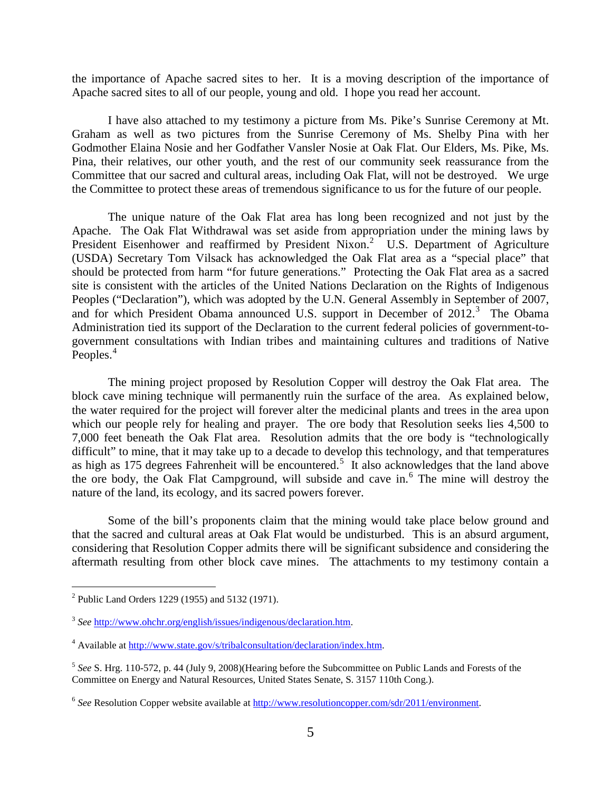the importance of Apache sacred sites to her. It is a moving description of the importance of Apache sacred sites to all of our people, young and old. I hope you read her account.

I have also attached to my testimony a picture from Ms. Pike's Sunrise Ceremony at Mt. Graham as well as two pictures from the Sunrise Ceremony of Ms. Shelby Pina with her Godmother Elaina Nosie and her Godfather Vansler Nosie at Oak Flat. Our Elders, Ms. Pike, Ms. Pina, their relatives, our other youth, and the rest of our community seek reassurance from the Committee that our sacred and cultural areas, including Oak Flat, will not be destroyed. We urge the Committee to protect these areas of tremendous significance to us for the future of our people.

The unique nature of the Oak Flat area has long been recognized and not just by the Apache. The Oak Flat Withdrawal was set aside from appropriation under the mining laws by President Eisenhower and reaffirmed by President Nixon.<sup>[2](#page-4-0)</sup> U.S. Department of Agriculture (USDA) Secretary Tom Vilsack has acknowledged the Oak Flat area as a "special place" that should be protected from harm "for future generations." Protecting the Oak Flat area as a sacred site is consistent with the articles of the United Nations Declaration on the Rights of Indigenous Peoples ("Declaration"), which was adopted by the U.N. General Assembly in September of 2007, and for which President Obama announced U.S. support in December of  $2012<sup>3</sup>$  $2012<sup>3</sup>$  $2012<sup>3</sup>$ . The Obama Administration tied its support of the Declaration to the current federal policies of government-togovernment consultations with Indian tribes and maintaining cultures and traditions of Native Peoples.<sup>[4](#page-4-2)</sup>

The mining project proposed by Resolution Copper will destroy the Oak Flat area. The block cave mining technique will permanently ruin the surface of the area. As explained below, the water required for the project will forever alter the medicinal plants and trees in the area upon which our people rely for healing and prayer. The ore body that Resolution seeks lies 4,500 to 7,000 feet beneath the Oak Flat area. Resolution admits that the ore body is "technologically difficult" to mine, that it may take up to a decade to develop this technology, and that temperatures as high as 17[5](#page-4-3) degrees Fahrenheit will be encountered.<sup>5</sup> It also acknowledges that the land above the ore body, the Oak Flat Campground, will subside and cave in.<sup>[6](#page-4-4)</sup> The mine will destroy the nature of the land, its ecology, and its sacred powers forever.

Some of the bill's proponents claim that the mining would take place below ground and that the sacred and cultural areas at Oak Flat would be undisturbed. This is an absurd argument, considering that Resolution Copper admits there will be significant subsidence and considering the aftermath resulting from other block cave mines. The attachments to my testimony contain a

<span id="page-4-0"></span> <sup>2</sup> Public Land Orders 1229 (1955) and 5132 (1971).

<span id="page-4-1"></span><sup>3</sup> *See* [http://www.ohchr.org/english/issues/indigenous/declaration.htm.](http://www.ohchr.org/english/issues/indigenous/declaration.htm)

<span id="page-4-2"></span><sup>4</sup> Available at [http://www.state.gov/s/tribalconsultation/declaration/index.htm.](http://www.state.gov/s/tribalconsultation/declaration/index.htm)

<span id="page-4-3"></span><sup>5</sup> *See* S. Hrg. 110-572, p. 44 (July 9, 2008)(Hearing before the Subcommittee on Public Lands and Forests of the Committee on Energy and Natural Resources, United States Senate, S. 3157 110th Cong.).

<span id="page-4-4"></span><sup>6</sup> *See* Resolution Copper website available at [http://www.resolutioncopper.com/sdr/2011/environment.](http://www.resolutioncopper.com/sdr/2011/environment)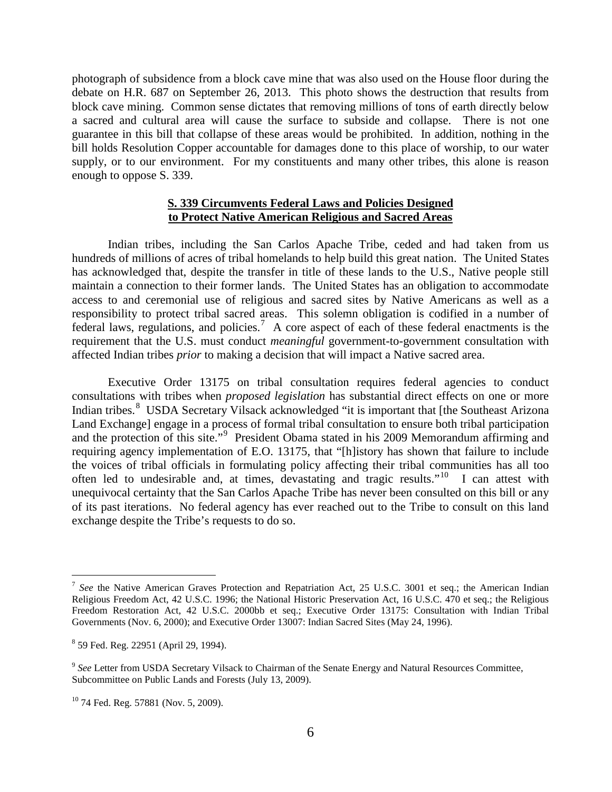photograph of subsidence from a block cave mine that was also used on the House floor during the debate on H.R. 687 on September 26, 2013. This photo shows the destruction that results from block cave mining. Common sense dictates that removing millions of tons of earth directly below a sacred and cultural area will cause the surface to subside and collapse. There is not one guarantee in this bill that collapse of these areas would be prohibited. In addition, nothing in the bill holds Resolution Copper accountable for damages done to this place of worship, to our water supply, or to our environment. For my constituents and many other tribes, this alone is reason enough to oppose S. 339.

## **S. 339 Circumvents Federal Laws and Policies Designed to Protect Native American Religious and Sacred Areas**

Indian tribes, including the San Carlos Apache Tribe, ceded and had taken from us hundreds of millions of acres of tribal homelands to help build this great nation. The United States has acknowledged that, despite the transfer in title of these lands to the U.S., Native people still maintain a connection to their former lands. The United States has an obligation to accommodate access to and ceremonial use of religious and sacred sites by Native Americans as well as a responsibility to protect tribal sacred areas. This solemn obligation is codified in a number of federal laws, regulations, and policies.<sup>[7](#page-5-0)</sup> A core aspect of each of these federal enactments is the requirement that the U.S. must conduct *meaningful* government-to-government consultation with affected Indian tribes *prior* to making a decision that will impact a Native sacred area.

Executive Order 13175 on tribal consultation requires federal agencies to conduct consultations with tribes when *proposed legislation* has substantial direct effects on one or more Indian tribes.<sup>[8](#page-5-1)</sup> USDA Secretary Vilsack acknowledged "it is important that [the Southeast Arizona] Land Exchange] engage in a process of formal tribal consultation to ensure both tribal participation and the protection of this site."<sup>[9](#page-5-2)</sup> President Obama stated in his 2009 Memorandum affirming and requiring agency implementation of E.O. 13175, that "[h]istory has shown that failure to include the voices of tribal officials in formulating policy affecting their tribal communities has all too often led to undesirable and, at times, devastating and tragic results."[10](#page-5-3) I can attest with unequivocal certainty that the San Carlos Apache Tribe has never been consulted on this bill or any of its past iterations. No federal agency has ever reached out to the Tribe to consult on this land exchange despite the Tribe's requests to do so.

<span id="page-5-0"></span><sup>&</sup>lt;sup>7</sup> See the Native American Graves Protection and Repatriation Act, 25 U.S.C. 3001 et seq.; the American Indian Religious Freedom Act, 42 U.S.C. 1996; the National Historic Preservation Act, 16 U.S.C. 470 et seq.; the Religious Freedom Restoration Act, 42 U.S.C. 2000bb et seq.; Executive Order 13175: Consultation with Indian Tribal Governments (Nov. 6, 2000); and Executive Order 13007: Indian Sacred Sites (May 24, 1996).

<span id="page-5-1"></span><sup>8</sup> 59 Fed. Reg. 22951 (April 29, 1994).

<span id="page-5-2"></span><sup>&</sup>lt;sup>9</sup> See Letter from USDA Secretary Vilsack to Chairman of the Senate Energy and Natural Resources Committee, Subcommittee on Public Lands and Forests (July 13, 2009).

<span id="page-5-3"></span><sup>&</sup>lt;sup>10</sup> 74 Fed. Reg. 57881 (Nov. 5, 2009).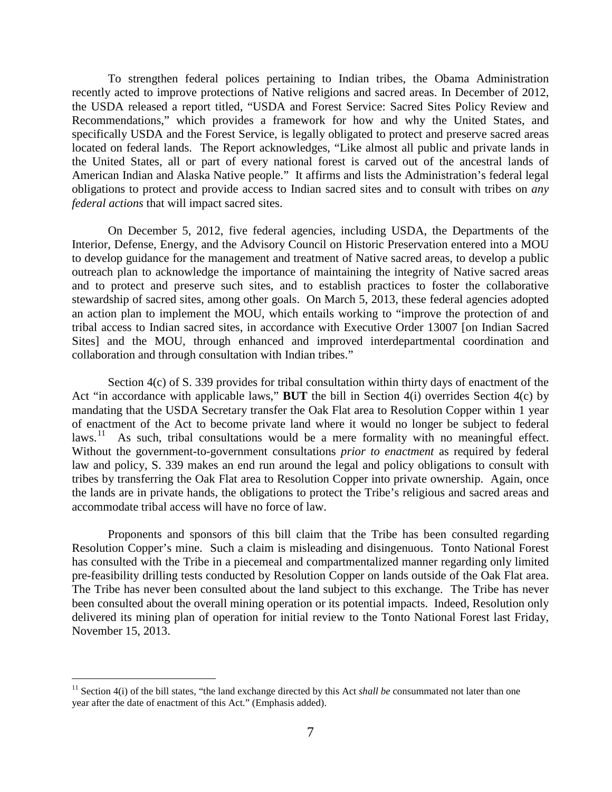To strengthen federal polices pertaining to Indian tribes, the Obama Administration recently acted to improve protections of Native religions and sacred areas. In December of 2012, the USDA released a report titled, "USDA and Forest Service: Sacred Sites Policy Review and Recommendations," which provides a framework for how and why the United States, and specifically USDA and the Forest Service, is legally obligated to protect and preserve sacred areas located on federal lands. The Report acknowledges, "Like almost all public and private lands in the United States, all or part of every national forest is carved out of the ancestral lands of American Indian and Alaska Native people." It affirms and lists the Administration's federal legal obligations to protect and provide access to Indian sacred sites and to consult with tribes on *any federal actions* that will impact sacred sites.

On December 5, 2012, five federal agencies, including USDA, the Departments of the Interior, Defense, Energy, and the Advisory Council on Historic Preservation entered into a MOU to develop guidance for the management and treatment of Native sacred areas, to develop a public outreach plan to acknowledge the importance of maintaining the integrity of Native sacred areas and to protect and preserve such sites, and to establish practices to foster the collaborative stewardship of sacred sites, among other goals. On March 5, 2013, these federal agencies adopted an action plan to implement the MOU, which entails working to "improve the protection of and tribal access to Indian sacred sites, in accordance with Executive Order 13007 [on Indian Sacred Sites] and the MOU, through enhanced and improved interdepartmental coordination and collaboration and through consultation with Indian tribes."

Section 4(c) of S. 339 provides for tribal consultation within thirty days of enactment of the Act "in accordance with applicable laws," **BUT** the bill in Section 4(i) overrides Section 4(c) by mandating that the USDA Secretary transfer the Oak Flat area to Resolution Copper within 1 year of enactment of the Act to become private land where it would no longer be subject to federal laws.<sup>11</sup> As such, tribal consultations would be a mere formality with no meaningful effect. Without the government-to-government consultations *prior to enactment* as required by federal law and policy, S. 339 makes an end run around the legal and policy obligations to consult with tribes by transferring the Oak Flat area to Resolution Copper into private ownership. Again, once the lands are in private hands, the obligations to protect the Tribe's religious and sacred areas and accommodate tribal access will have no force of law.

Proponents and sponsors of this bill claim that the Tribe has been consulted regarding Resolution Copper's mine. Such a claim is misleading and disingenuous. Tonto National Forest has consulted with the Tribe in a piecemeal and compartmentalized manner regarding only limited pre-feasibility drilling tests conducted by Resolution Copper on lands outside of the Oak Flat area. The Tribe has never been consulted about the land subject to this exchange. The Tribe has never been consulted about the overall mining operation or its potential impacts. Indeed, Resolution only delivered its mining plan of operation for initial review to the Tonto National Forest last Friday, November 15, 2013.

<span id="page-6-0"></span><sup>&</sup>lt;sup>11</sup> Section 4(i) of the bill states, "the land exchange directed by this Act *shall be* consummated not later than one year after the date of enactment of this Act." (Emphasis added).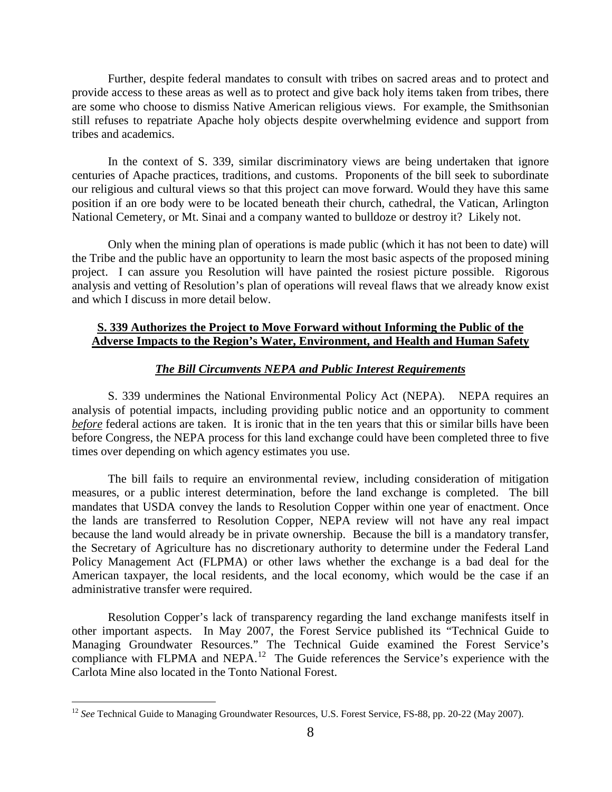Further, despite federal mandates to consult with tribes on sacred areas and to protect and provide access to these areas as well as to protect and give back holy items taken from tribes, there are some who choose to dismiss Native American religious views. For example, the Smithsonian still refuses to repatriate Apache holy objects despite overwhelming evidence and support from tribes and academics.

In the context of S. 339, similar discriminatory views are being undertaken that ignore centuries of Apache practices, traditions, and customs. Proponents of the bill seek to subordinate our religious and cultural views so that this project can move forward. Would they have this same position if an ore body were to be located beneath their church, cathedral, the Vatican, Arlington National Cemetery, or Mt. Sinai and a company wanted to bulldoze or destroy it? Likely not.

Only when the mining plan of operations is made public (which it has not been to date) will the Tribe and the public have an opportunity to learn the most basic aspects of the proposed mining project. I can assure you Resolution will have painted the rosiest picture possible. Rigorous analysis and vetting of Resolution's plan of operations will reveal flaws that we already know exist and which I discuss in more detail below.

## **S. 339 Authorizes the Project to Move Forward without Informing the Public of the Adverse Impacts to the Region's Water, Environment, and Health and Human Safety**

### *The Bill Circumvents NEPA and Public Interest Requirements*

S. 339 undermines the National Environmental Policy Act (NEPA). NEPA requires an analysis of potential impacts, including providing public notice and an opportunity to comment *before* federal actions are taken. It is ironic that in the ten years that this or similar bills have been before Congress, the NEPA process for this land exchange could have been completed three to five times over depending on which agency estimates you use.

The bill fails to require an environmental review, including consideration of mitigation measures, or a public interest determination, before the land exchange is completed. The bill mandates that USDA convey the lands to Resolution Copper within one year of enactment. Once the lands are transferred to Resolution Copper, NEPA review will not have any real impact because the land would already be in private ownership. Because the bill is a mandatory transfer, the Secretary of Agriculture has no discretionary authority to determine under the Federal Land Policy Management Act (FLPMA) or other laws whether the exchange is a bad deal for the American taxpayer, the local residents, and the local economy, which would be the case if an administrative transfer were required.

Resolution Copper's lack of transparency regarding the land exchange manifests itself in other important aspects. In May 2007, the Forest Service published its "Technical Guide to Managing Groundwater Resources." The Technical Guide examined the Forest Service's compliance with FLPMA and NEPA.<sup>[12](#page-7-0)</sup> The Guide references the Service's experience with the Carlota Mine also located in the Tonto National Forest.

<span id="page-7-0"></span><sup>&</sup>lt;sup>12</sup> See Technical Guide to Managing Groundwater Resources, U.S. Forest Service, FS-88, pp. 20-22 (May 2007).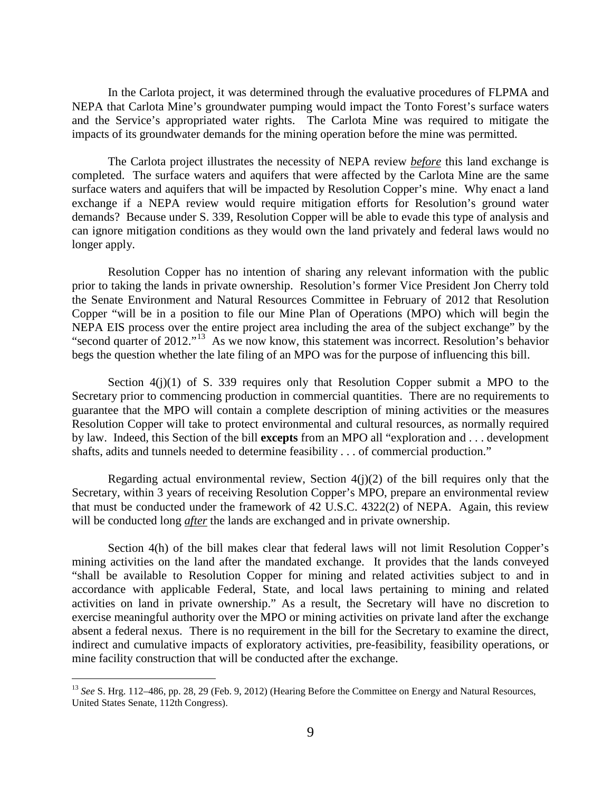In the Carlota project, it was determined through the evaluative procedures of FLPMA and NEPA that Carlota Mine's groundwater pumping would impact the Tonto Forest's surface waters and the Service's appropriated water rights. The Carlota Mine was required to mitigate the impacts of its groundwater demands for the mining operation before the mine was permitted.

The Carlota project illustrates the necessity of NEPA review *before* this land exchange is completed. The surface waters and aquifers that were affected by the Carlota Mine are the same surface waters and aquifers that will be impacted by Resolution Copper's mine. Why enact a land exchange if a NEPA review would require mitigation efforts for Resolution's ground water demands? Because under S. 339, Resolution Copper will be able to evade this type of analysis and can ignore mitigation conditions as they would own the land privately and federal laws would no longer apply.

Resolution Copper has no intention of sharing any relevant information with the public prior to taking the lands in private ownership. Resolution's former Vice President Jon Cherry told the Senate Environment and Natural Resources Committee in February of 2012 that Resolution Copper "will be in a position to file our Mine Plan of Operations (MPO) which will begin the NEPA EIS process over the entire project area including the area of the subject exchange" by the "second quarter of 2012."[13](#page-8-0) As we now know, this statement was incorrect. Resolution's behavior begs the question whether the late filing of an MPO was for the purpose of influencing this bill.

Section  $4(j)(1)$  of S. 339 requires only that Resolution Copper submit a MPO to the Secretary prior to commencing production in commercial quantities. There are no requirements to guarantee that the MPO will contain a complete description of mining activities or the measures Resolution Copper will take to protect environmental and cultural resources, as normally required by law. Indeed, this Section of the bill **excepts** from an MPO all "exploration and . . . development shafts, adits and tunnels needed to determine feasibility . . . of commercial production."

Regarding actual environmental review, Section  $4(j)(2)$  of the bill requires only that the Secretary, within 3 years of receiving Resolution Copper's MPO, prepare an environmental review that must be conducted under the framework of 42 U.S.C. 4322(2) of NEPA. Again, this review will be conducted long *after* the lands are exchanged and in private ownership.

Section 4(h) of the bill makes clear that federal laws will not limit Resolution Copper's mining activities on the land after the mandated exchange. It provides that the lands conveyed "shall be available to Resolution Copper for mining and related activities subject to and in accordance with applicable Federal, State, and local laws pertaining to mining and related activities on land in private ownership." As a result, the Secretary will have no discretion to exercise meaningful authority over the MPO or mining activities on private land after the exchange absent a federal nexus. There is no requirement in the bill for the Secretary to examine the direct, indirect and cumulative impacts of exploratory activities, pre-feasibility, feasibility operations, or mine facility construction that will be conducted after the exchange.

<span id="page-8-0"></span> <sup>13</sup> *See* S. Hrg. 112–486, pp. 28, 29 (Feb. 9, 2012) (Hearing Before the Committee on Energy and Natural Resources, United States Senate, 112th Congress).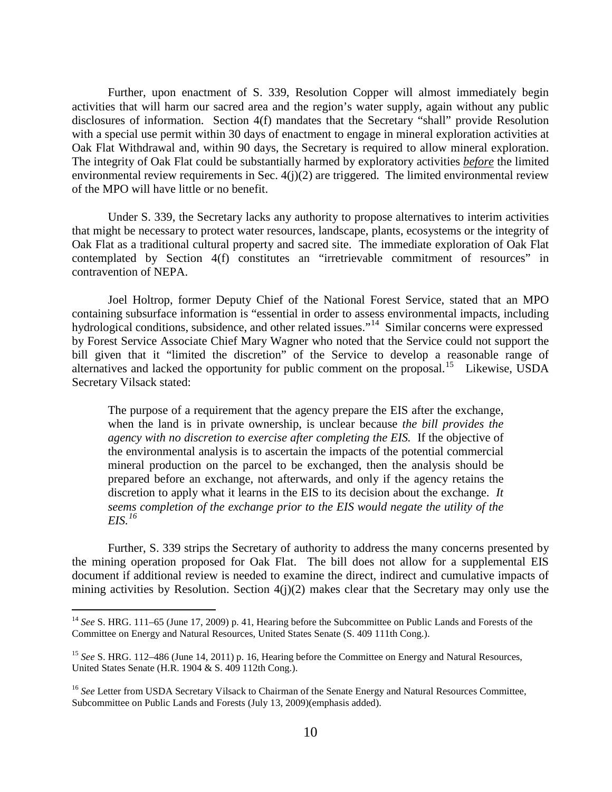Further, upon enactment of S. 339, Resolution Copper will almost immediately begin activities that will harm our sacred area and the region's water supply, again without any public disclosures of information. Section 4(f) mandates that the Secretary "shall" provide Resolution with a special use permit within 30 days of enactment to engage in mineral exploration activities at Oak Flat Withdrawal and, within 90 days, the Secretary is required to allow mineral exploration. The integrity of Oak Flat could be substantially harmed by exploratory activities *before* the limited environmental review requirements in Sec.  $4(j)(2)$  are triggered. The limited environmental review of the MPO will have little or no benefit.

Under S. 339, the Secretary lacks any authority to propose alternatives to interim activities that might be necessary to protect water resources, landscape, plants, ecosystems or the integrity of Oak Flat as a traditional cultural property and sacred site. The immediate exploration of Oak Flat contemplated by Section 4(f) constitutes an "irretrievable commitment of resources" in contravention of NEPA.

Joel Holtrop, former Deputy Chief of the National Forest Service, stated that an MPO containing subsurface information is "essential in order to assess environmental impacts, including hydrological conditions, subsidence, and other related issues."<sup>[14](#page-9-0)</sup> Similar concerns were expressed by Forest Service Associate Chief Mary Wagner who noted that the Service could not support the bill given that it "limited the discretion" of the Service to develop a reasonable range of alternatives and lacked the opportunity for public comment on the proposal.<sup>[15](#page-9-1)</sup> Likewise, USDA Secretary Vilsack stated:

The purpose of a requirement that the agency prepare the EIS after the exchange, when the land is in private ownership, is unclear because *the bill provides the agency with no discretion to exercise after completing the EIS.* If the objective of the environmental analysis is to ascertain the impacts of the potential commercial mineral production on the parcel to be exchanged, then the analysis should be prepared before an exchange, not afterwards, and only if the agency retains the discretion to apply what it learns in the EIS to its decision about the exchange. *It seems completion of the exchange prior to the EIS would negate the utility of the EIS.[16](#page-9-2)*

Further, S. 339 strips the Secretary of authority to address the many concerns presented by the mining operation proposed for Oak Flat. The bill does not allow for a supplemental EIS document if additional review is needed to examine the direct, indirect and cumulative impacts of mining activities by Resolution. Section  $4(j)(2)$  makes clear that the Secretary may only use the

<span id="page-9-0"></span><sup>&</sup>lt;sup>14</sup> See S. HRG. 111–65 (June 17, 2009) p. 41, Hearing before the Subcommittee on Public Lands and Forests of the Committee on Energy and Natural Resources, United States Senate (S. 409 111th Cong.).

<span id="page-9-1"></span><sup>&</sup>lt;sup>15</sup> See S. HRG. 112–486 (June 14, 2011) p. 16, Hearing before the Committee on Energy and Natural Resources, United States Senate (H.R. 1904 & S. 409 112th Cong.).

<span id="page-9-2"></span><sup>&</sup>lt;sup>16</sup> See Letter from USDA Secretary Vilsack to Chairman of the Senate Energy and Natural Resources Committee, Subcommittee on Public Lands and Forests (July 13, 2009)(emphasis added).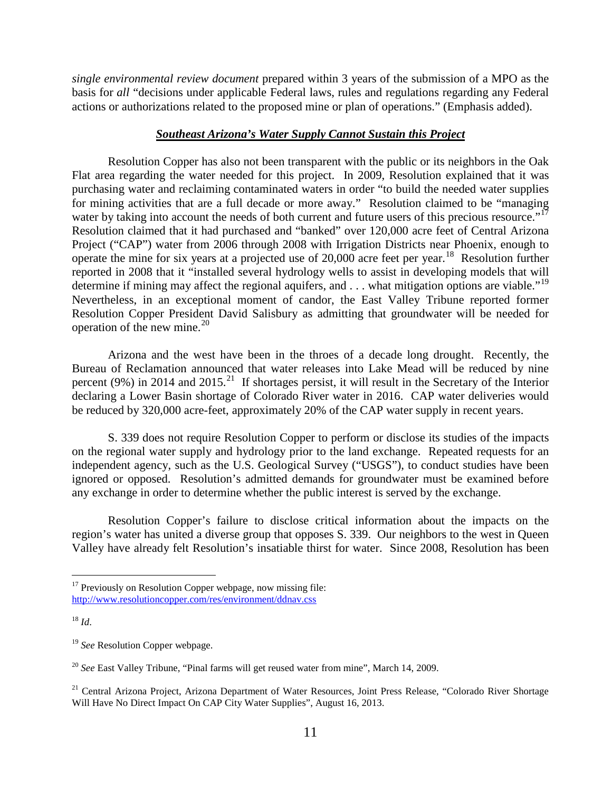*single environmental review document* prepared within 3 years of the submission of a MPO as the basis for *all* "decisions under applicable Federal laws, rules and regulations regarding any Federal actions or authorizations related to the proposed mine or plan of operations." (Emphasis added).

### *Southeast Arizona's Water Supply Cannot Sustain this Project*

Resolution Copper has also not been transparent with the public or its neighbors in the Oak Flat area regarding the water needed for this project. In 2009, Resolution explained that it was purchasing water and reclaiming contaminated waters in order "to build the needed water supplies for mining activities that are a full decade or more away." Resolution claimed to be "managing water by taking into account the needs of both current and future users of this precious resource."<sup>[17](#page-10-0)</sup> Resolution claimed that it had purchased and "banked" over 120,000 acre feet of Central Arizona Project ("CAP") water from 2006 through 2008 with Irrigation Districts near Phoenix, enough to operate the mine for six years at a projected use of 20,000 acre feet per year.[18](#page-10-1) Resolution further reported in 2008 that it "installed several hydrology wells to assist in developing models that will determine if mining may affect the regional aquifers, and  $\dots$  what mitigation options are viable."<sup>[19](#page-10-2)</sup> Nevertheless, in an exceptional moment of candor, the East Valley Tribune reported former Resolution Copper President David Salisbury as admitting that groundwater will be needed for operation of the new mine. $^{20}$ 

Arizona and the west have been in the throes of a decade long drought. Recently, the Bureau of Reclamation announced that water releases into Lake Mead will be reduced by nine percent (9%) in 2014 and 2015.<sup>21</sup> If shortages persist, it will result in the Secretary of the Interior declaring a Lower Basin shortage of Colorado River water in 2016. CAP water deliveries would be reduced by 320,000 acre-feet, approximately 20% of the CAP water supply in recent years.

S. 339 does not require Resolution Copper to perform or disclose its studies of the impacts on the regional water supply and hydrology prior to the land exchange. Repeated requests for an independent agency, such as the U.S. Geological Survey ("USGS"), to conduct studies have been ignored or opposed. Resolution's admitted demands for groundwater must be examined before any exchange in order to determine whether the public interest is served by the exchange.

Resolution Copper's failure to disclose critical information about the impacts on the region's water has united a diverse group that opposes S. 339. Our neighbors to the west in Queen Valley have already felt Resolution's insatiable thirst for water. Since 2008, Resolution has been

<span id="page-10-0"></span><sup>&</sup>lt;sup>17</sup> Previously on Resolution Copper webpage, now missing file: <http://www.resolutioncopper.com/res/environment/ddnav.css>

<span id="page-10-1"></span> $18$  *Id.* 

<span id="page-10-2"></span><sup>&</sup>lt;sup>19</sup> See Resolution Copper webpage.

<span id="page-10-3"></span><sup>20</sup> *See* East Valley Tribune, "Pinal farms will get reused water from mine", March 14, 2009.

<span id="page-10-4"></span><sup>&</sup>lt;sup>21</sup> Central Arizona Project, Arizona Department of Water Resources, Joint Press Release, "Colorado River Shortage Will Have No Direct Impact On CAP City Water Supplies", August 16, 2013.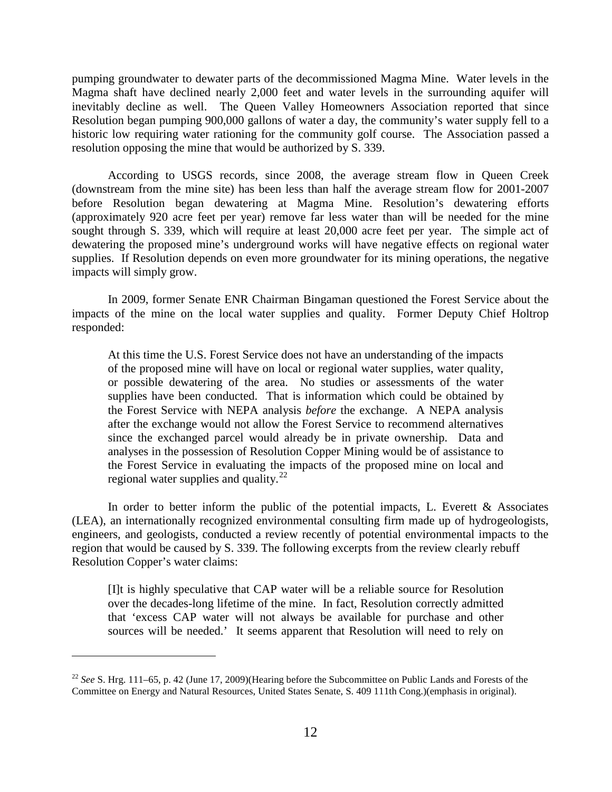pumping groundwater to dewater parts of the decommissioned Magma Mine. Water levels in the Magma shaft have declined nearly 2,000 feet and water levels in the surrounding aquifer will inevitably decline as well. The Queen Valley Homeowners Association reported that since Resolution began pumping 900,000 gallons of water a day, the community's water supply fell to a historic low requiring water rationing for the community golf course. The Association passed a resolution opposing the mine that would be authorized by S. 339.

According to USGS records, since 2008, the average stream flow in Queen Creek (downstream from the mine site) has been less than half the average stream flow for 2001-2007 before Resolution began dewatering at Magma Mine. Resolution's dewatering efforts (approximately 920 acre feet per year) remove far less water than will be needed for the mine sought through S. 339, which will require at least 20,000 acre feet per year. The simple act of dewatering the proposed mine's underground works will have negative effects on regional water supplies. If Resolution depends on even more groundwater for its mining operations, the negative impacts will simply grow.

In 2009, former Senate ENR Chairman Bingaman questioned the Forest Service about the impacts of the mine on the local water supplies and quality. Former Deputy Chief Holtrop responded:

At this time the U.S. Forest Service does not have an understanding of the impacts of the proposed mine will have on local or regional water supplies, water quality, or possible dewatering of the area. No studies or assessments of the water supplies have been conducted. That is information which could be obtained by the Forest Service with NEPA analysis *before* the exchange. A NEPA analysis after the exchange would not allow the Forest Service to recommend alternatives since the exchanged parcel would already be in private ownership. Data and analyses in the possession of Resolution Copper Mining would be of assistance to the Forest Service in evaluating the impacts of the proposed mine on local and regional water supplies and quality.<sup>[22](#page-11-0)</sup>

In order to better inform the public of the potential impacts, L. Everett  $\&$  Associates (LEA), an internationally recognized environmental consulting firm made up of hydrogeologists, engineers, and geologists, conducted a review recently of potential environmental impacts to the region that would be caused by S. 339. The following excerpts from the review clearly rebuff Resolution Copper's water claims:

[I]t is highly speculative that CAP water will be a reliable source for Resolution over the decades-long lifetime of the mine. In fact, Resolution correctly admitted that 'excess CAP water will not always be available for purchase and other sources will be needed.' It seems apparent that Resolution will need to rely on

 $\overline{a}$ 

<span id="page-11-0"></span><sup>22</sup> *See* S. Hrg. 111–65, p. 42 (June 17, 2009)(Hearing before the Subcommittee on Public Lands and Forests of the Committee on Energy and Natural Resources, United States Senate, S. 409 111th Cong.)(emphasis in original).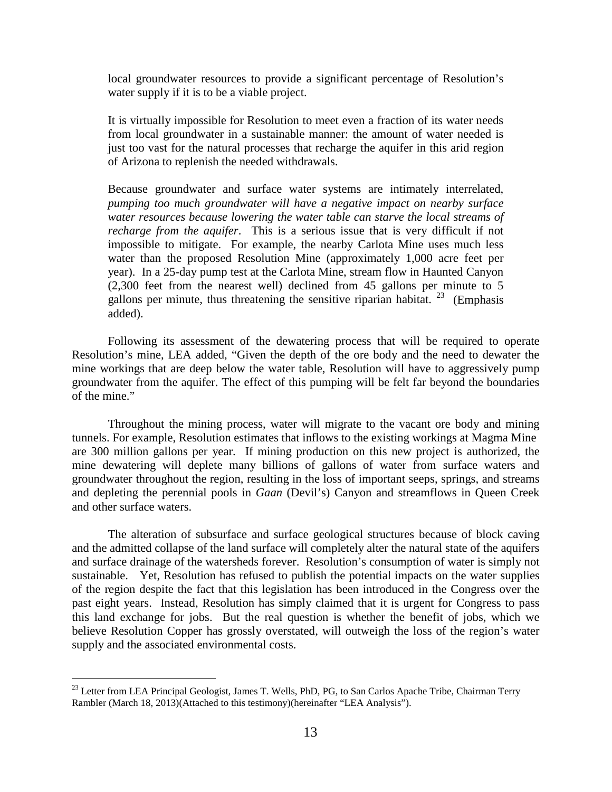local groundwater resources to provide a significant percentage of Resolution's water supply if it is to be a viable project.

It is virtually impossible for Resolution to meet even a fraction of its water needs from local groundwater in a sustainable manner: the amount of water needed is just too vast for the natural processes that recharge the aquifer in this arid region of Arizona to replenish the needed withdrawals.

Because groundwater and surface water systems are intimately interrelated, *pumping too much groundwater will have a negative impact on nearby surface water resources because lowering the water table can starve the local streams of recharge from the aquifer*. This is a serious issue that is very difficult if not impossible to mitigate. For example, the nearby Carlota Mine uses much less water than the proposed Resolution Mine (approximately 1,000 acre feet per year). In a 25-day pump test at the Carlota Mine, stream flow in Haunted Canyon (2,300 feet from the nearest well) declined from 45 gallons per minute to 5 gallons per minute, thus threatening the sensitive riparian habitat. <sup>23</sup> (Emphasis added).

Following its assessment of the dewatering process that will be required to operate Resolution's mine, LEA added, "Given the depth of the ore body and the need to dewater the mine workings that are deep below the water table, Resolution will have to aggressively pump groundwater from the aquifer. The effect of this pumping will be felt far beyond the boundaries of the mine."

Throughout the mining process, water will migrate to the vacant ore body and mining tunnels. For example, Resolution estimates that inflows to the existing workings at Magma Mine are 300 million gallons per year. If mining production on this new project is authorized, the mine dewatering will deplete many billions of gallons of water from surface waters and groundwater throughout the region, resulting in the loss of important seeps, springs, and streams and depleting the perennial pools in *Gaan* (Devil's) Canyon and streamflows in Queen Creek and other surface waters.

The alteration of subsurface and surface geological structures because of block caving and the admitted collapse of the land surface will completely alter the natural state of the aquifers and surface drainage of the watersheds forever. Resolution's consumption of water is simply not sustainable. Yet, Resolution has refused to publish the potential impacts on the water supplies of the region despite the fact that this legislation has been introduced in the Congress over the past eight years. Instead, Resolution has simply claimed that it is urgent for Congress to pass this land exchange for jobs. But the real question is whether the benefit of jobs, which we believe Resolution Copper has grossly overstated, will outweigh the loss of the region's water supply and the associated environmental costs.

<span id="page-12-0"></span><sup>&</sup>lt;sup>23</sup> Letter from LEA Principal Geologist, James T. Wells, PhD, PG, to San Carlos Apache Tribe, Chairman Terry Rambler (March 18, 2013)(Attached to this testimony)(hereinafter "LEA Analysis").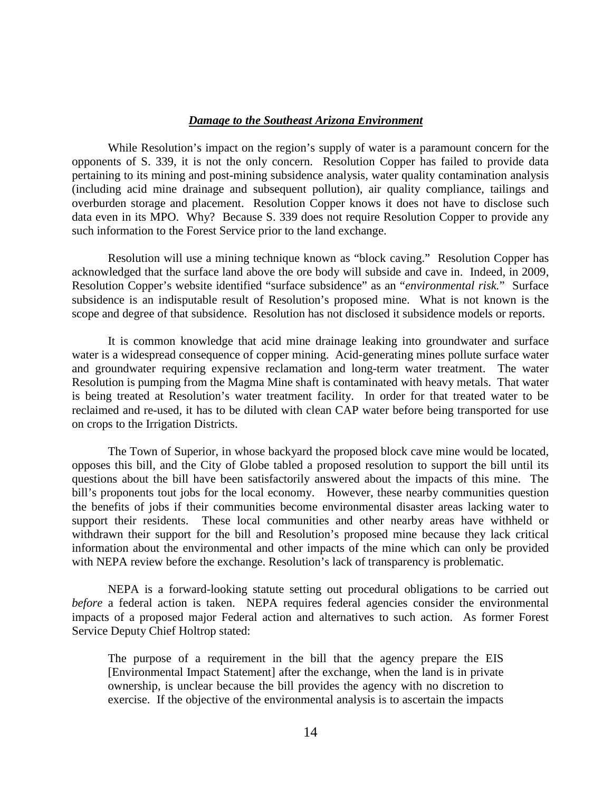### *Damage to the Southeast Arizona Environment*

While Resolution's impact on the region's supply of water is a paramount concern for the opponents of S. 339, it is not the only concern. Resolution Copper has failed to provide data pertaining to its mining and post-mining subsidence analysis, water quality contamination analysis (including acid mine drainage and subsequent pollution), air quality compliance, tailings and overburden storage and placement. Resolution Copper knows it does not have to disclose such data even in its MPO. Why? Because S. 339 does not require Resolution Copper to provide any such information to the Forest Service prior to the land exchange.

Resolution will use a mining technique known as "block caving." Resolution Copper has acknowledged that the surface land above the ore body will subside and cave in. Indeed, in 2009, Resolution Copper's website identified "surface subsidence" as an "*environmental risk.*" Surface subsidence is an indisputable result of Resolution's proposed mine. What is not known is the scope and degree of that subsidence. Resolution has not disclosed it subsidence models or reports.

It is common knowledge that acid mine drainage leaking into groundwater and surface water is a widespread consequence of copper mining. Acid-generating mines pollute surface water and groundwater requiring expensive reclamation and long-term water treatment. The water Resolution is pumping from the Magma Mine shaft is contaminated with heavy metals. That water is being treated at Resolution's water treatment facility. In order for that treated water to be reclaimed and re-used, it has to be diluted with clean CAP water before being transported for use on crops to the Irrigation Districts.

The Town of Superior, in whose backyard the proposed block cave mine would be located, opposes this bill, and the City of Globe tabled a proposed resolution to support the bill until its questions about the bill have been satisfactorily answered about the impacts of this mine. The bill's proponents tout jobs for the local economy. However, these nearby communities question the benefits of jobs if their communities become environmental disaster areas lacking water to support their residents. These local communities and other nearby areas have withheld or withdrawn their support for the bill and Resolution's proposed mine because they lack critical information about the environmental and other impacts of the mine which can only be provided with NEPA review before the exchange. Resolution's lack of transparency is problematic.

NEPA is a forward-looking statute setting out procedural obligations to be carried out *before* a federal action is taken. NEPA requires federal agencies consider the environmental impacts of a proposed major Federal action and alternatives to such action. As former Forest Service Deputy Chief Holtrop stated:

The purpose of a requirement in the bill that the agency prepare the EIS [Environmental Impact Statement] after the exchange, when the land is in private ownership, is unclear because the bill provides the agency with no discretion to exercise. If the objective of the environmental analysis is to ascertain the impacts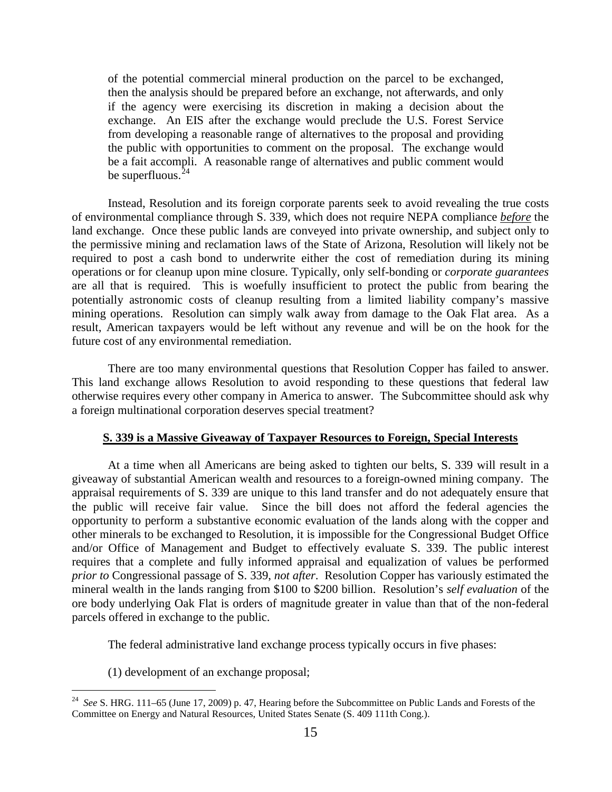of the potential commercial mineral production on the parcel to be exchanged, then the analysis should be prepared before an exchange, not afterwards, and only if the agency were exercising its discretion in making a decision about the exchange. An EIS after the exchange would preclude the U.S. Forest Service from developing a reasonable range of alternatives to the proposal and providing the public with opportunities to comment on the proposal. The exchange would be a fait accompli. A reasonable range of alternatives and public comment would be superfluous. $24$ 

Instead, Resolution and its foreign corporate parents seek to avoid revealing the true costs of environmental compliance through S. 339, which does not require NEPA compliance *before* the land exchange. Once these public lands are conveyed into private ownership, and subject only to the permissive mining and reclamation laws of the State of Arizona, Resolution will likely not be required to post a cash bond to underwrite either the cost of remediation during its mining operations or for cleanup upon mine closure. Typically, only self-bonding or *corporate guarantees*  are all that is required. This is woefully insufficient to protect the public from bearing the potentially astronomic costs of cleanup resulting from a limited liability company's massive mining operations. Resolution can simply walk away from damage to the Oak Flat area. As a result, American taxpayers would be left without any revenue and will be on the hook for the future cost of any environmental remediation.

There are too many environmental questions that Resolution Copper has failed to answer. This land exchange allows Resolution to avoid responding to these questions that federal law otherwise requires every other company in America to answer. The Subcommittee should ask why a foreign multinational corporation deserves special treatment?

#### **S. 339 is a Massive Giveaway of Taxpayer Resources to Foreign, Special Interests**

At a time when all Americans are being asked to tighten our belts, S. 339 will result in a giveaway of substantial American wealth and resources to a foreign-owned mining company. The appraisal requirements of S. 339 are unique to this land transfer and do not adequately ensure that the public will receive fair value. Since the bill does not afford the federal agencies the opportunity to perform a substantive economic evaluation of the lands along with the copper and other minerals to be exchanged to Resolution, it is impossible for the Congressional Budget Office and/or Office of Management and Budget to effectively evaluate S. 339. The public interest requires that a complete and fully informed appraisal and equalization of values be performed *prior to* Congressional passage of S. 339, *not after*. Resolution Copper has variously estimated the mineral wealth in the lands ranging from \$100 to \$200 billion. Resolution's *self evaluation* of the ore body underlying Oak Flat is orders of magnitude greater in value than that of the non-federal parcels offered in exchange to the public.

The federal administrative land exchange process typically occurs in five phases:

(1) development of an exchange proposal;

<span id="page-14-0"></span> <sup>24</sup> *See* S. HRG. 111–65 (June 17, 2009) p. 47, Hearing before the Subcommittee on Public Lands and Forests of the Committee on Energy and Natural Resources, United States Senate (S. 409 111th Cong.).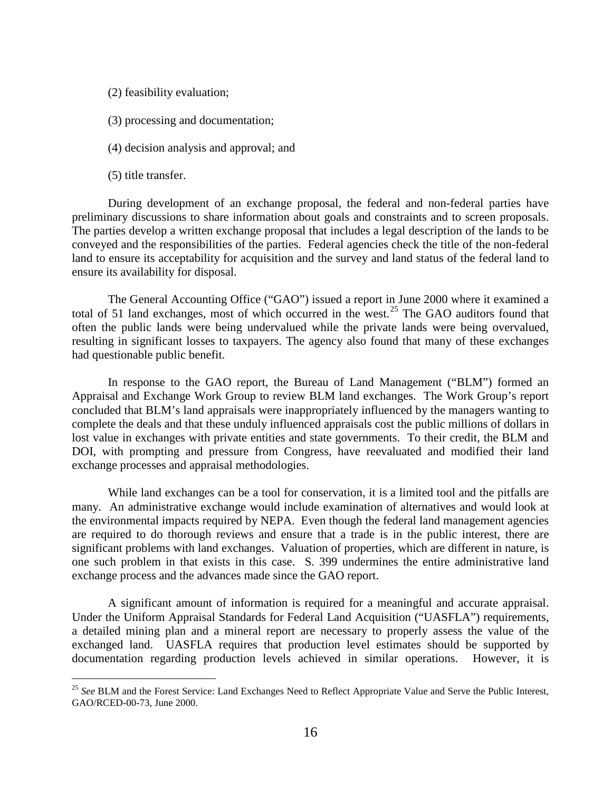(2) feasibility evaluation;

- (3) processing and documentation;
- (4) decision analysis and approval; and
- (5) title transfer.

During development of an exchange proposal, the federal and non-federal parties have preliminary discussions to share information about goals and constraints and to screen proposals. The parties develop a written exchange proposal that includes a legal description of the lands to be conveyed and the responsibilities of the parties. Federal agencies check the title of the non-federal land to ensure its acceptability for acquisition and the survey and land status of the federal land to ensure its availability for disposal.

The General Accounting Office ("GAO") issued a report in June 2000 where it examined a total of 51 land exchanges, most of which occurred in the west.<sup>[25](#page-15-0)</sup> The GAO auditors found that often the public lands were being undervalued while the private lands were being overvalued, resulting in significant losses to taxpayers. The agency also found that many of these exchanges had questionable public benefit.

In response to the GAO report, the Bureau of Land Management ("BLM") formed an Appraisal and Exchange Work Group to review BLM land exchanges. The Work Group's report concluded that BLM's land appraisals were inappropriately influenced by the managers wanting to complete the deals and that these unduly influenced appraisals cost the public millions of dollars in lost value in exchanges with private entities and state governments. To their credit, the BLM and DOI, with prompting and pressure from Congress, have reevaluated and modified their land exchange processes and appraisal methodologies.

While land exchanges can be a tool for conservation, it is a limited tool and the pitfalls are many. An administrative exchange would include examination of alternatives and would look at the environmental impacts required by NEPA. Even though the federal land management agencies are required to do thorough reviews and ensure that a trade is in the public interest, there are significant problems with land exchanges. Valuation of properties, which are different in nature, is one such problem in that exists in this case. S. 399 undermines the entire administrative land exchange process and the advances made since the GAO report.

A significant amount of information is required for a meaningful and accurate appraisal. Under the Uniform Appraisal Standards for Federal Land Acquisition ("UASFLA") requirements, a detailed mining plan and a mineral report are necessary to properly assess the value of the exchanged land. UASFLA requires that production level estimates should be supported by documentation regarding production levels achieved in similar operations. However, it is

<span id="page-15-0"></span><sup>&</sup>lt;sup>25</sup> See BLM and the Forest Service: Land Exchanges Need to Reflect Appropriate Value and Serve the Public Interest, GAO/RCED-00-73, June 2000.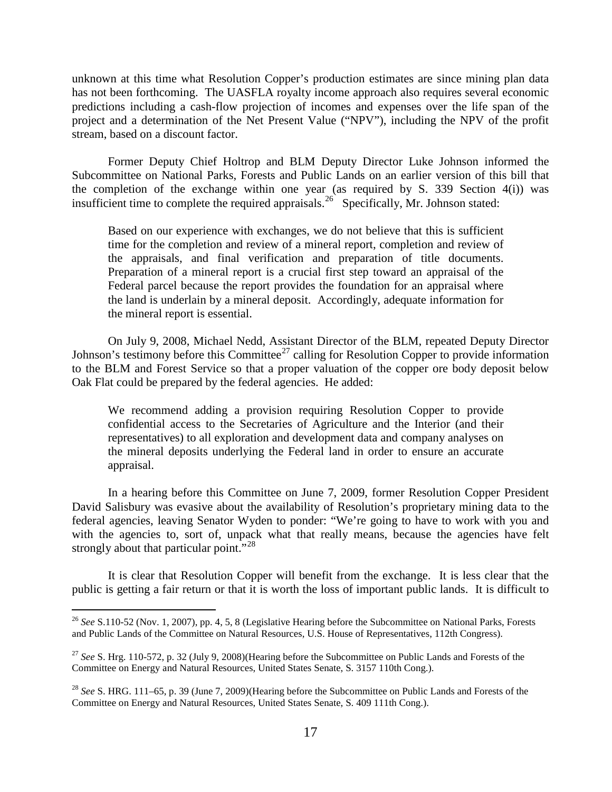unknown at this time what Resolution Copper's production estimates are since mining plan data has not been forthcoming. The UASFLA royalty income approach also requires several economic predictions including a cash-flow projection of incomes and expenses over the life span of the project and a determination of the Net Present Value ("NPV"), including the NPV of the profit stream, based on a discount factor.

Former Deputy Chief Holtrop and BLM Deputy Director Luke Johnson informed the Subcommittee on National Parks, Forests and Public Lands on an earlier version of this bill that the completion of the exchange within one year (as required by S. 339 Section 4(i)) was insufficient time to complete the required appraisals.<sup>26</sup> Specifically, Mr. Johnson stated:

Based on our experience with exchanges, we do not believe that this is sufficient time for the completion and review of a mineral report, completion and review of the appraisals, and final verification and preparation of title documents. Preparation of a mineral report is a crucial first step toward an appraisal of the Federal parcel because the report provides the foundation for an appraisal where the land is underlain by a mineral deposit. Accordingly, adequate information for the mineral report is essential.

On July 9, 2008, Michael Nedd, Assistant Director of the BLM, repeated Deputy Director Johnson's testimony before this Committee<sup>[27](#page-16-1)</sup> calling for Resolution Copper to provide information to the BLM and Forest Service so that a proper valuation of the copper ore body deposit below Oak Flat could be prepared by the federal agencies. He added:

We recommend adding a provision requiring Resolution Copper to provide confidential access to the Secretaries of Agriculture and the Interior (and their representatives) to all exploration and development data and company analyses on the mineral deposits underlying the Federal land in order to ensure an accurate appraisal.

In a hearing before this Committee on June 7, 2009, former Resolution Copper President David Salisbury was evasive about the availability of Resolution's proprietary mining data to the federal agencies, leaving Senator Wyden to ponder: "We're going to have to work with you and with the agencies to, sort of, unpack what that really means, because the agencies have felt strongly about that particular point."<sup>[28](#page-16-2)</sup>

It is clear that Resolution Copper will benefit from the exchange. It is less clear that the public is getting a fair return or that it is worth the loss of important public lands. It is difficult to

<span id="page-16-0"></span> <sup>26</sup> *See* S.110-52 (Nov. 1, 2007), pp. 4, 5, 8 (Legislative Hearing before the Subcommittee on National Parks, Forests and Public Lands of the Committee on Natural Resources, U.S. House of Representatives, 112th Congress).

<span id="page-16-1"></span><sup>27</sup> *See* S. Hrg. 110-572, p. 32 (July 9, 2008)(Hearing before the Subcommittee on Public Lands and Forests of the Committee on Energy and Natural Resources, United States Senate, S. 3157 110th Cong.).

<span id="page-16-2"></span><sup>28</sup> *See* S. HRG. 111–65, p. 39 (June 7, 2009)(Hearing before the Subcommittee on Public Lands and Forests of the Committee on Energy and Natural Resources, United States Senate, S. 409 111th Cong.).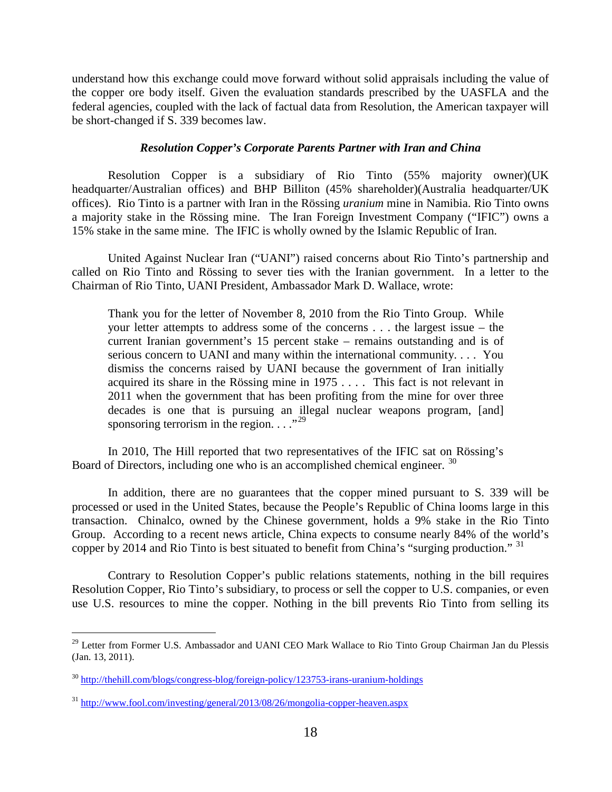understand how this exchange could move forward without solid appraisals including the value of the copper ore body itself. Given the evaluation standards prescribed by the UASFLA and the federal agencies, coupled with the lack of factual data from Resolution, the American taxpayer will be short-changed if S. 339 becomes law.

### *Resolution Copper's Corporate Parents Partner with Iran and China*

Resolution Copper is a subsidiary of Rio Tinto (55% majority owner)(UK headquarter/Australian offices) and BHP Billiton (45% shareholder)(Australia headquarter/UK offices). Rio Tinto is a partner with Iran in the Rössing *uranium* mine in Namibia. Rio Tinto owns a majority stake in the Rössing mine. The Iran Foreign Investment Company ("IFIC") owns a 15% stake in the same mine. The IFIC is wholly owned by the Islamic Republic of Iran.

United Against Nuclear Iran ("UANI") raised concerns about Rio Tinto's partnership and called on Rio Tinto and Rössing to sever ties with the Iranian government. In a letter to the Chairman of Rio Tinto, UANI President, Ambassador Mark D. Wallace, wrote:

Thank you for the letter of November 8, 2010 from the Rio Tinto Group. While your letter attempts to address some of the concerns . . . the largest issue – the current Iranian government's 15 percent stake – remains outstanding and is of serious concern to UANI and many within the international community. . . . You dismiss the concerns raised by UANI because the government of Iran initially acquired its share in the Rössing mine in 1975 . . . . This fact is not relevant in 2011 when the government that has been profiting from the mine for over three decades is one that is pursuing an illegal nuclear weapons program, [and] sponsoring terrorism in the region.  $\ldots$ <sup>[29](#page-17-0)</sup>

In 2010, The Hill reported that two representatives of the IFIC sat on Rössing's Board of Directors, including one who is an accomplished chemical engineer. [30](#page-17-1)

In addition, there are no guarantees that the copper mined pursuant to S. 339 will be processed or used in the United States, because the People's Republic of China looms large in this transaction. Chinalco, owned by the Chinese government, holds a 9% stake in the Rio Tinto Group. According to a recent news article, China expects to consume nearly 84% of the world's copper by 2014 and Rio Tinto is best situated to benefit from China's "surging production."  $31$ 

Contrary to Resolution Copper's public relations statements, nothing in the bill requires Resolution Copper, Rio Tinto's subsidiary, to process or sell the copper to U.S. companies, or even use U.S. resources to mine the copper. Nothing in the bill prevents Rio Tinto from selling its

<span id="page-17-0"></span><sup>&</sup>lt;sup>29</sup> Letter from Former U.S. Ambassador and UANI CEO Mark Wallace to Rio Tinto Group Chairman Jan du Plessis (Jan. 13, 2011).

<span id="page-17-1"></span><sup>30</sup> <http://thehill.com/blogs/congress-blog/foreign-policy/123753-irans-uranium-holdings>

<span id="page-17-2"></span> $31 \text{ http://www.fool.com/investing/general/2013/08/26/mongolia-conper-heaven.aspx}$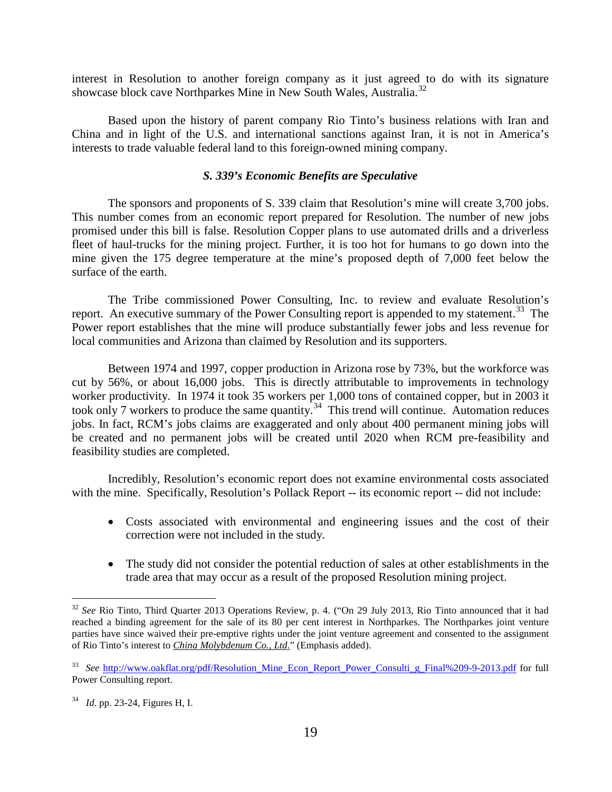interest in Resolution to another foreign company as it just agreed to do with its signature showcase block cave Northparkes Mine in New South Wales, Australia.<sup>[32](#page-18-0)</sup>

Based upon the history of parent company Rio Tinto's business relations with Iran and China and in light of the U.S. and international sanctions against Iran, it is not in America's interests to trade valuable federal land to this foreign-owned mining company.

#### *S. 339's Economic Benefits are Speculative*

The sponsors and proponents of S. 339 claim that Resolution's mine will create 3,700 jobs. This number comes from an economic report prepared for Resolution. The number of new jobs promised under this bill is false. Resolution Copper plans to use automated drills and a driverless fleet of haul-trucks for the mining project. Further, it is too hot for humans to go down into the mine given the 175 degree temperature at the mine's proposed depth of 7,000 feet below the surface of the earth.

The Tribe commissioned Power Consulting, Inc. to review and evaluate Resolution's report. An executive summary of the Power Consulting report is appended to my statement.<sup>33</sup> The Power report establishes that the mine will produce substantially fewer jobs and less revenue for local communities and Arizona than claimed by Resolution and its supporters.

Between 1974 and 1997, copper production in Arizona rose by 73%, but the workforce was cut by 56%, or about 16,000 jobs. This is directly attributable to improvements in technology worker productivity. In 1974 it took 35 workers per 1,000 tons of contained copper, but in 2003 it took only 7 workers to produce the same quantity.<sup>[34](#page-18-2)</sup> This trend will continue. Automation reduces jobs. In fact, RCM's jobs claims are exaggerated and only about 400 permanent mining jobs will be created and no permanent jobs will be created until 2020 when RCM pre-feasibility and feasibility studies are completed.

Incredibly, Resolution's economic report does not examine environmental costs associated with the mine. Specifically, Resolution's Pollack Report -- its economic report -- did not include:

- Costs associated with environmental and engineering issues and the cost of their correction were not included in the study.
- The study did not consider the potential reduction of sales at other establishments in the trade area that may occur as a result of the proposed Resolution mining project.

<span id="page-18-0"></span><sup>&</sup>lt;sup>32</sup> See Rio Tinto, Third Quarter 2013 Operations Review, p. 4. ("On 29 July 2013, Rio Tinto announced that it had reached a binding agreement for the sale of its 80 per cent interest in Northparkes. The Northparkes joint venture parties have since waived their pre-emptive rights under the joint venture agreement and consented to the assignment of Rio Tinto's interest to *China Molybdenum Co., Ltd.*" (Emphasis added).

<span id="page-18-1"></span><sup>&</sup>lt;sup>33</sup> See http://www.oakflat.org/pdf/Resolution Mine Econ Report Power Consulti g Final%209-9-2013.pdf for full Power Consulting report.

<span id="page-18-2"></span><sup>34</sup> *Id*. pp. 23-24, Figures H, I.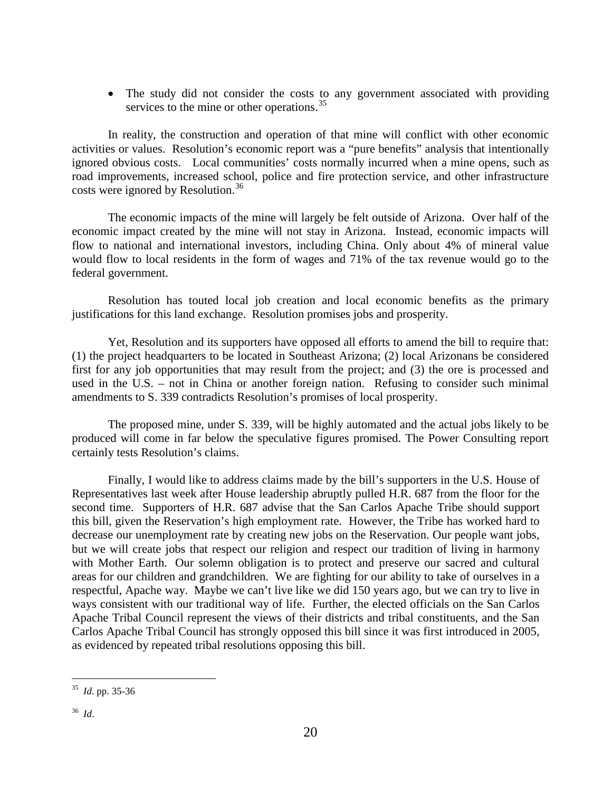• The study did not consider the costs to any government associated with providing services to the mine or other operations.<sup>[35](#page-19-0)</sup>

In reality, the construction and operation of that mine will conflict with other economic activities or values. Resolution's economic report was a "pure benefits" analysis that intentionally ignored obvious costs. Local communities' costs normally incurred when a mine opens, such as road improvements, increased school, police and fire protection service, and other infrastructure costs were ignored by Resolution.<sup>[36](#page-19-1)</sup>

The economic impacts of the mine will largely be felt outside of Arizona. Over half of the economic impact created by the mine will not stay in Arizona. Instead, economic impacts will flow to national and international investors, including China. Only about 4% of mineral value would flow to local residents in the form of wages and 71% of the tax revenue would go to the federal government.

Resolution has touted local job creation and local economic benefits as the primary justifications for this land exchange. Resolution promises jobs and prosperity.

Yet, Resolution and its supporters have opposed all efforts to amend the bill to require that: (1) the project headquarters to be located in Southeast Arizona; (2) local Arizonans be considered first for any job opportunities that may result from the project; and (3) the ore is processed and used in the U.S. – not in China or another foreign nation. Refusing to consider such minimal amendments to S. 339 contradicts Resolution's promises of local prosperity.

The proposed mine, under S. 339, will be highly automated and the actual jobs likely to be produced will come in far below the speculative figures promised. The Power Consulting report certainly tests Resolution's claims.

Finally, I would like to address claims made by the bill's supporters in the U.S. House of Representatives last week after House leadership abruptly pulled H.R. 687 from the floor for the second time. Supporters of H.R. 687 advise that the San Carlos Apache Tribe should support this bill, given the Reservation's high employment rate. However, the Tribe has worked hard to decrease our unemployment rate by creating new jobs on the Reservation. Our people want jobs, but we will create jobs that respect our religion and respect our tradition of living in harmony with Mother Earth. Our solemn obligation is to protect and preserve our sacred and cultural areas for our children and grandchildren. We are fighting for our ability to take of ourselves in a respectful, Apache way. Maybe we can't live like we did 150 years ago, but we can try to live in ways consistent with our traditional way of life. Further, the elected officials on the San Carlos Apache Tribal Council represent the views of their districts and tribal constituents, and the San Carlos Apache Tribal Council has strongly opposed this bill since it was first introduced in 2005, as evidenced by repeated tribal resolutions opposing this bill.

<span id="page-19-1"></span><span id="page-19-0"></span> <sup>35</sup> *Id*. pp. 35-36